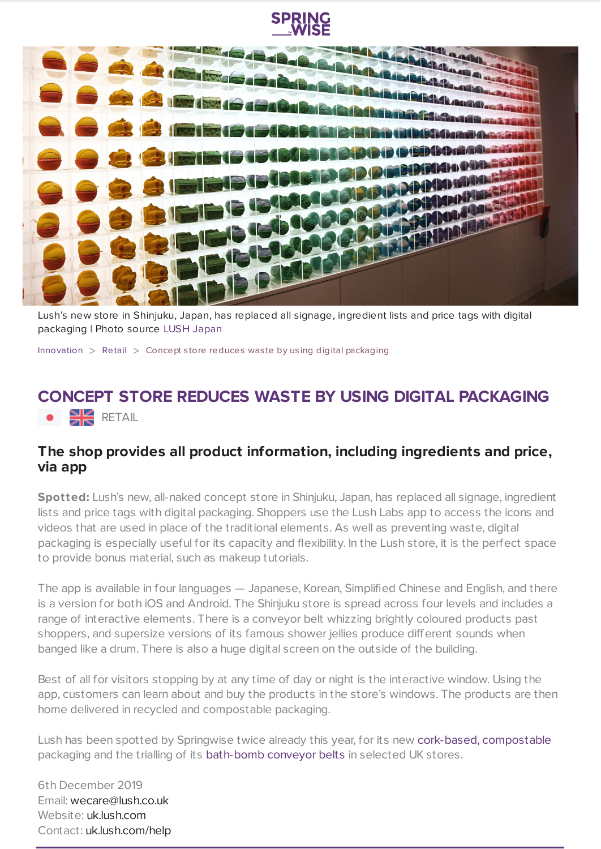



Lush's new store in Shinjuku, Japan, has replaced all signage, ingredient lists and price tags with digital packaging | Photo source LUSH [Japan](https://jn.lush.com/)

[Innovation](https://www.springwise.com/search?type=innovation)  $>$  [Retail](https://www.springwise.com/search?type=innovation§or=retail)  $>$  Concept store reduces was te by using digital packaging

## **CONCEPT STORE REDUCES WASTE BY USING DIGITAL PACKAGING**  $H$  RETAIL

## **The shop provides all product information, including ingredients and price, via app**

**Spotted:** Lush's new, all-naked concept store in Shinjuku, Japan, has replaced all signage, ingredient lists and price tags with digital packaging. Shoppers use the Lush Labs app to access the icons and videos that are used in place of the traditional elements. As well as preventing waste, digital packaging is especially useful for its capacity and flexibility. In the Lush store, it is the perfect space to provide bonus material, such as makeup tutorials.

The app is available in four languages — Japanese, Korean, Simplified Chinese and English, and there is a version for both iOS and Android. The Shinjuku store is spread across four levels and includes a range of interactive elements. There is a conveyor belt whizzing brightly coloured products past shoppers, and supersize versions of its famous shower jellies produce different sounds when banged like a drum. There is also a huge digital screen on the outside of the building.

Best of all for visitors stopping by at any time of day or night is the interactive window. Using the app, customers can learn about and buy the products in the store's windows. The products are then home delivered in recycled and compostable packaging.

Lush has been spotted by Springwise twice already this year, for its new cork-based, [compostable](https://www.springwise.com/innovation/beauty/carbon-positive-packaging-lush-cosmetics) packaging and the trialling of its [bath-bomb](https://www.springwise.com/sustainability-innovation/retail/lush-bath-bomb-conveyer-belt-packaging-free-christmas) conveyor belts in selected UK stores.

6th December 2019 Email: [wecare@lush.co.uk](mailto:wecare@lush.co.uk) Website: [uk.lush.com](https://uk.lush.com/) Contact: [uk.lush.com/help](https://uk.lush.com/help)